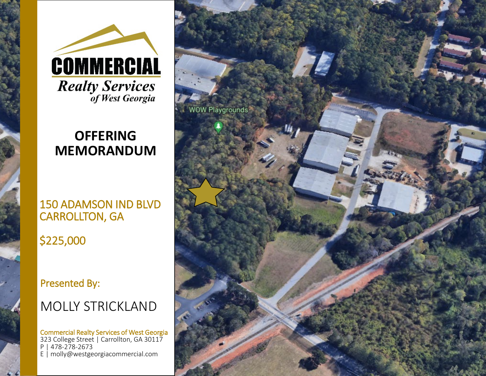

# **OFFERING MEMORANDUM**

## 150 ADAMSON IND BLVD CARROLLTON, GA

\$225,000

Presented By:

# MOLLY STRICKLAND

Commercial Realty Services of West Georgia 323 College Street | Carrollton, GA 30117 P | 478-278-2673 E | molly@westgeorgiacommercial.com

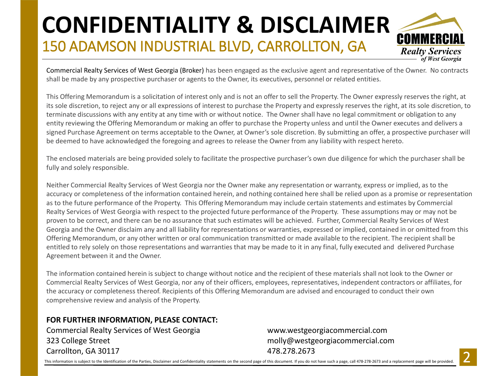# 150 ADAMSON INDUSTRIAL BLVD, CARROLLTON, GA **CONFIDENTIALITY & DISCLAIMER**



Commercial Realty Services of West Georgia (Broker) has been engaged as the exclusive agent and representative of the Owner. No contracts shall be made by any prospective purchaser or agents to the Owner, its executives, personnel or related entities.

This Offering Memorandum is a solicitation of interest only and is not an offer to sell the Property. The Owner expressly reserves the right, at its sole discretion, to reject any or all expressions of interest to purchase the Property and expressly reserves the right, at its sole discretion, to terminate discussions with any entity at any time with or without notice. The Owner shall have no legal commitment or obligation to any entity reviewing the Offering Memorandum or making an offer to purchase the Property unless and until the Owner executes and delivers a signed Purchase Agreement on terms acceptable to the Owner, at Owner's sole discretion. By submitting an offer, a prospective purchaser will be deemed to have acknowledged the foregoing and agrees to release the Owner from any liability with respect hereto.

The enclosed materials are being provided solely to facilitate the prospective purchaser's own due diligence for which the purchaser shall be fully and solely responsible.

Neither Commercial Realty Services of West Georgia nor the Owner make any representation or warranty, express or implied, as to the accuracy or completeness of the information contained herein, and nothing contained here shall be relied upon as a promise or representation as to the future performance of the Property. This Offering Memorandum may include certain statements and estimates by Commercial Realty Services of West Georgia with respect to the projected future performance of the Property. These assumptions may or may not be proven to be correct, and there can be no assurance that such estimates will be achieved. Further, Commercial Realty Services of West Georgia and the Owner disclaim any and all liability for representations or warranties, expressed or implied, contained in or omitted from this Offering Memorandum, or any other written or oral communication transmitted or made available to the recipient. The recipient shall be entitled to rely solely on those representations and warranties that may be made to it in any final, fully executed and delivered Purchase Agreement between it and the Owner.

The information contained herein is subject to change without notice and the recipient of these materials shall not look to the Owner or Commercial Realty Services of West Georgia, nor any of their officers, employees, representatives, independent contractors or affiliates, for the accuracy or completeness thereof. Recipients of this Offering Memorandum are advised and encouraged to conduct their own comprehensive review and analysis of the Property.

## **FOR FURTHER INFORMATION, PLEASE CONTACT:**

Commercial Realty Services of West Georgia www.westgeorgiacommercial.com 323 College Street molly@westgeorgiacommercial.com Carrollton, GA 30117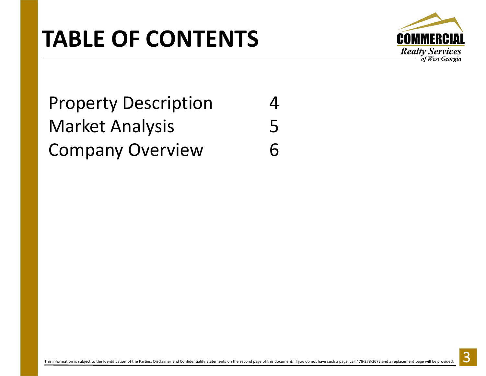# **TABLE OF CONTENTS**



# Property Description 4 Market Analysis 5 Company Overview 6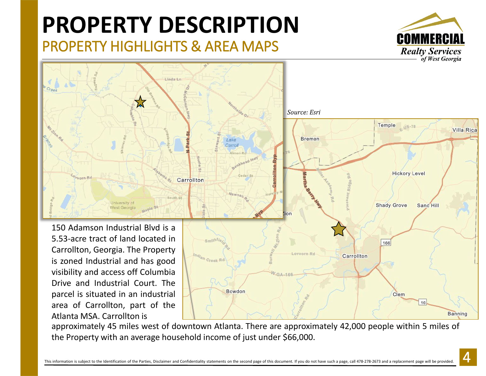# **PROPERTY DESCRIPTION**

PROPERTY HIGHLIGHTS & AREA MAPS





Carrollton, Georgia. The Property is zoned Industrial and has good visibility and access off Columbia Drive and Industrial Court. The parcel is situated in an industrial area of Carrollton, part of the Atlanta MSA. Carrollton is

Lovvorn Rd Carrollton Creek Rd **Bowdon** Clem 16 **Banning** 

approximately 45 miles west of downtown Atlanta. There are approximately 42,000 people within 5 miles of the Property with an average household income of just under \$66,000.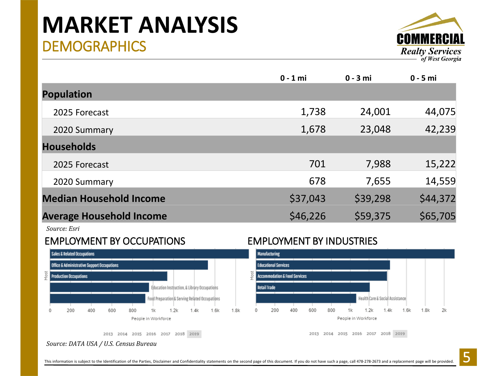# **DEMOGRAPHICS MARKET ANALYSIS**



|                                 | $0 - 1$ mi | $0 - 3$ mi | $0 - 5$ mi |
|---------------------------------|------------|------------|------------|
| <b>Population</b>               |            |            |            |
| 2025 Forecast                   | 1,738      | 24,001     | 44,075     |
| 2020 Summary                    | 1,678      | 23,048     | 42,239     |
| <b>Households</b>               |            |            |            |
| 2025 Forecast                   | 701        | 7,988      | 15,222     |
| 2020 Summary                    | 678        | 7,655      | 14,559     |
| <b>Median Household Income</b>  | \$37,043   | \$39,298   | \$44,372   |
| <b>Average Household Income</b> | \$46,226   | \$59,375   | \$65,705   |

*Source: Esri*

## EMPLOYMENT BY OCCUPATIONS EMPLOYMENT BY INDUSTRIES